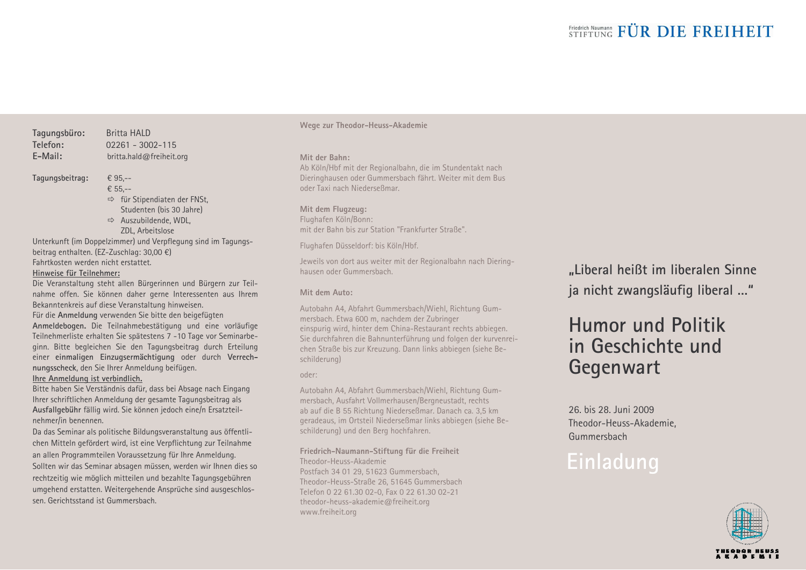#### Tagungsbüro: Telefon:  $F-Mail$

**Britta HAID**  $02261 - 3002 - 115$ britta.hald@freiheit.org

#### Tagungsbeitrag:

€ 95.--€ 55.--

> $\Rightarrow$  für Stipendiaten der FNSt, Studenten (bis 30 Jahre)

 $\Rightarrow$  Auszubildende, WDL. ZDL. Arbeitslose

Unterkunft (im Doppelzimmer) und Verpflegung sind im Tagungsbeitrag enthalten. (EZ-Zuschlag: 30,00 €) Fahrtkosten werden nicht erstattet.

#### Hinweise für Teilnehmer:

Die Veranstaltung steht allen Bürgerinnen und Bürgern zur Teilnahme offen. Sie können daher gerne Interessenten aus Ihrem Bekanntenkreis auf diese Veranstaltung hinweisen.

Für die Anmeldung verwenden Sie bitte den beigefügten Anmeldebogen. Die Teilnahmebestätigung und eine vorläufige Teilnehmerliste erhalten Sie spätestens 7 -10 Tage vor Seminarbeginn. Bitte begleichen Sie den Tagungsbeitrag durch Erteilung einer einmaligen Einzugsermächtigung oder durch Verrechnungsscheck, den Sie Ihrer Anmeldung beifügen. Ihre Anmeldung ist verbindlich.

Bitte haben Sie Verständnis dafür, dass bei Absage nach Eingang Ihrer schriftlichen Anmeldung der gesamte Tagungsbeitrag als Ausfallgebühr fällig wird. Sie können jedoch eine/n Ersatzteilnehmer/in benennen.

Da das Seminar als politische Bildungsveranstaltung aus öffentlichen Mitteln gefördert wird, ist eine Verpflichtung zur Teilnahme an allen Programmteilen Voraussetzung für Ihre Anmeldung. Sollten wir das Seminar absagen müssen, werden wir Ihnen dies so rechtzeitig wie möglich mitteilen und bezahlte Tagungsgebühren umgehend erstatten. Weitergehende Ansprüche sind ausgeschlossen. Gerichtsstand ist Gummersbach.

Wege zur Theodor-Heuss-Akademie

#### Mit der Bahn:

Ab Köln/Hbf mit der Regionalbahn, die im Stundentakt nach Dieringhausen oder Gummersbach fährt. Weiter mit dem Busoder Taxi nach Niederseßmar

#### Mit dem Flugzeug:

Flughafen Köln/Bonn: mit der Bahn bis zur Station "Frankfurter Straße".

Flughafen Düsseldorf: bis Köln/Hbf.

Jeweils von dort aus weiter mit der Regionalbahn nach Dieringhausen oder Gummershach

#### Mit dem Auto:

Autobahn A4, Abfahrt Gummersbach/Wiehl, Richtung Gummersbach. Etwa 600 m, nachdem der Zubringer einspurig wird, hinter dem China-Restaurant rechts abbiegen. Sie durchfahren die Bahnunterführung und folgen der kurvenreichen Straße bis zur Kreuzung. Dann links abbiegen (siehe Beschilderung)

oder:

Autobahn A4, Abfahrt Gummersbach/Wiehl, Richtung Gummersbach, Ausfahrt Vollmerhausen/Bergneustadt, rechts ab auf die B 55 Richtung Niederseßmar. Danach ca. 3,5 km geradeaus, im Ortsteil Niederseßmar links abbiegen (siehe Beschilderung) und den Berg hochfahren.

#### Friedrich-Naumann-Stiftung für die Freiheit Theodor-Heuss-Akademie

Postfach 34 01 29, 51623 Gummersbach, Theodor-Heuss-Straße 26, 51645 Gummersbach Telefon 0 22 61.30 02-0. Fax 0 22 61.30 02-21 theodor-heuss-akademie@freiheit.org www.freiheit.org

"Liberal heißt im liberalen Sinne ja nicht zwangsläufig liberal ..."

## Humor und Politik in Geschichte und Gegenwart

26 his 28 Juni 2009 Theodor-Heuss-Akademie. Gummersbach

# Einladung

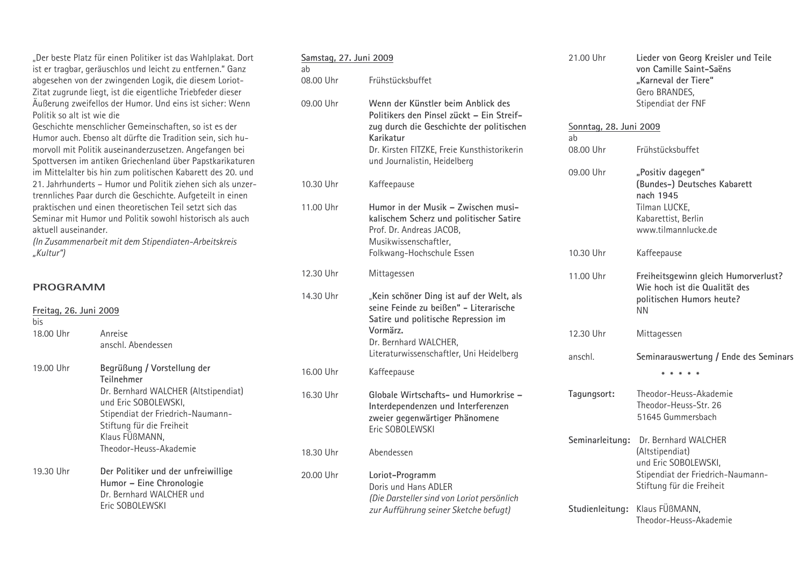"Der beste Platz für einen Politiker ist das Wahlplakat. Dort ist er tragbar, geräuschlos und leicht zu entfernen." Ganz abgesehen von der zwingenden Logik, die diesem Loriot-Zitat zugrunde liegt, ist die eigentliche Triebfeder dieser Äußerung zweifellos der Humor. Und eins ist sicher: Wenn Politik so alt ist wie die

Geschichte menschlicher Gemeinschaften, so ist es der Humor auch. Ebenso alt dürfte die Tradition sein, sich humorvoll mit Politik auseinanderzusetzen. Angefangen bei Spottversen im antiken Griechenland über Papstkarikaturen im Mittelalter bis hin zum politischen Kabarett des 20. und 21. Jahrhunderts - Humor und Politik ziehen sich als unzertrennliches Paar durch die Geschichte. Aufgeteilt in einen praktischen und einen theoretischen Teil setzt sich das Seminar mit Humor und Politik sowohl historisch als auch aktuell auseinander.

(In Zusammenarbeit mit dem Stipendiaten-Arbeitskreis "Kultur")

#### **PROGRAMM**

| Freitag, 26. Juni 2009<br>bis |                                                                                                                                | 14.30 Uhr | "Kein schoner Ding ist auf der Welt, als<br>seine Feinde zu beißen" - Literarische<br>Satire und politische Repression im        |                 | politischen Humors her<br><b>NN</b>                                |
|-------------------------------|--------------------------------------------------------------------------------------------------------------------------------|-----------|----------------------------------------------------------------------------------------------------------------------------------|-----------------|--------------------------------------------------------------------|
| 18.00 Uhr                     | Anreise<br>anschl. Abendessen                                                                                                  |           | Vormärz.<br>Dr. Bernhard WALCHER,                                                                                                | 12.30 Uhr       | Mittagessen                                                        |
|                               |                                                                                                                                |           | Literaturwissenschaftler, Uni Heidelberg                                                                                         | anschl.         | Seminarauswertung / E                                              |
| 19.00 Uhr                     | Begrüßung / Vorstellung der<br>Teilnehmer                                                                                      | 16.00 Uhr | Kaffeepause                                                                                                                      |                 |                                                                    |
|                               | Dr. Bernhard WALCHER (Altstipendiat)<br>und Eric SOBOLEWSKI,<br>Stipendiat der Friedrich-Naumann-<br>Stiftung für die Freiheit | 16.30 Uhr | Globale Wirtschafts- und Humorkrise -<br>Interdependenzen und Interferenzen<br>zweier gegenwärtiger Phänomene<br>Eric SOBOLEWSKI | Tagungsort:     | Theodor-Heuss-Akadem<br>Theodor-Heuss-Str. 26<br>51645 Gummersbach |
|                               | Klaus FUBMANN,<br>Theodor-Heuss-Akademie                                                                                       | 18.30 Uhr | Abendessen                                                                                                                       | Seminarleitung: | Dr. Bernhard WALCHER<br>(Altstipendiat)<br>und Eric SOBOLEWSKI,    |
| 19.30 Uhr                     | Der Politiker und der unfreiwillige<br>Humor - Eine Chronologie<br>Dr. Bernhard WALCHER und                                    | 20.00 Uhr | Loriot-Programm<br>Doris und Hans ADLER<br>(Die Darsteller sind von Loriot persönlich                                            |                 | Stipendiat der Friedrich<br>Stiftung für die Freiheit              |
|                               | Eric SOBOLEWSKI                                                                                                                |           | zur Aufführung seiner Sketche befugt)                                                                                            |                 | Studienleitung: Klaus FÜßMANN,                                     |

| <u>Samstag, 27. Juni 2009</u> |                                                                                                                                                                                                                         |  |  |  |
|-------------------------------|-------------------------------------------------------------------------------------------------------------------------------------------------------------------------------------------------------------------------|--|--|--|
| ab<br>08.00 Uhr               | Frühstücksbuffet                                                                                                                                                                                                        |  |  |  |
| 09.00 Uhr                     | Wenn der Künstler beim Anblick des<br>Politikers den Pinsel zückt - Ein Streif-<br>zug durch die Geschichte der politischen<br>Karikatur<br>Dr. Kirsten FITZKE, Freie Kunsthistorikerin<br>und Journalistin, Heidelberg |  |  |  |
| 10.30 Uhr                     | Kaffeepause                                                                                                                                                                                                             |  |  |  |
| 11.00 Uhr                     | Humor in der Musik – Zwischen musi-<br>kalischem Scherz und politischer Satire<br>Prof. Dr. Andreas JACOB,<br>Musikwissenschaftler,<br>Folkwang-Hochschule Essen                                                        |  |  |  |
| 12.30 Uhr                     | Mittagessen                                                                                                                                                                                                             |  |  |  |
| 14.30 Uhr                     | "Kein schöner Ding ist auf der Welt, als<br>seine Feinde zu beißen" - Literarische<br>Satire und politische Repression im<br>Vormärz.<br>Dr. Bernhard WALCHER,<br>Literaturwissenschaftler, Uni Heidelberg              |  |  |  |
| 16.00 Uhr                     | Kaffeepause                                                                                                                                                                                                             |  |  |  |
| 16.30 Uhr                     | Globale Wirtschafts- und Humorkrise -<br>Interdependenzen und Interferenzen<br>zweier gegenwärtiger Phänomene<br>Eric SOBOLEWSKI                                                                                        |  |  |  |
| 18.30 Uhr                     | Abendessen                                                                                                                                                                                                              |  |  |  |
| 20.00 Uhr                     | Loriot-Programm<br>Doris und Hans ADI FR<br>(Die Darsteller sind von Loriot persönlich                                                                                                                                  |  |  |  |

|                              | 21.00 Uhr       | Lieder von Georg Kreisler und Teile<br>von Camille Saint-Saëns<br>"Karneval der Tiere"<br>Gero BRANDES,<br>Stipendiat der FNF |  |  |  |
|------------------------------|-----------------|-------------------------------------------------------------------------------------------------------------------------------|--|--|--|
| Sonntag, 28. Juni 2009<br>ab |                 |                                                                                                                               |  |  |  |
|                              | 08.00 Uhr       | Frühstücksbuffet                                                                                                              |  |  |  |
|                              | 09.00 Uhr       | "Positiv dagegen"<br>(Bundes-) Deutsches Kabarett<br>nach 1945<br>Tilman LUCKE,<br>Kabarettist, Berlin<br>www.tilmannlucke.de |  |  |  |
|                              | 10.30 Uhr       | Kaffeepause                                                                                                                   |  |  |  |
|                              | 11.00 Uhr       | Freiheitsgewinn gleich Humorverlust?<br>Wie hoch ist die Qualität des<br>politischen Humors heute?<br><b>NN</b>               |  |  |  |
|                              | 12.30 Uhr       | Mittagessen                                                                                                                   |  |  |  |
|                              | anschl.         | Seminarauswertung / Ende des Seminars                                                                                         |  |  |  |
|                              |                 |                                                                                                                               |  |  |  |
|                              | Tagungsort:     | Theodor-Heuss-Akademie<br>Theodor-Heuss-Str. 26<br>51645 Gummersbach                                                          |  |  |  |
|                              | Seminarleitung: | Dr. Bernhard WALCHER<br>(Altstipendiat)<br>und Eric SOBOLEWSKI,<br>Stipendiat der Friedrich-Naumann-                          |  |  |  |

Theodor-Heuss-Akademie